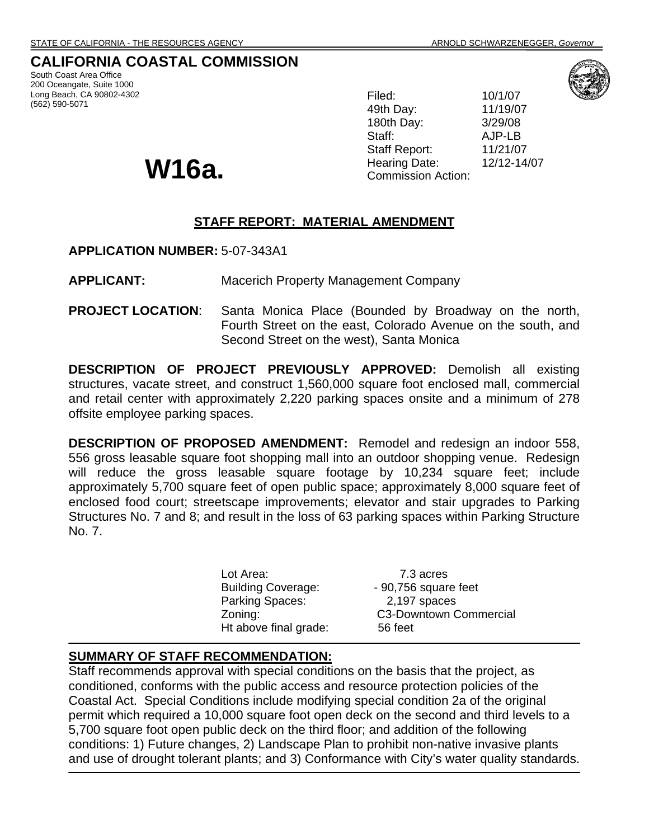# **CALIFORNIA COASTAL COMMISSION**

South Coast Area Office 200 Oceangate, Suite 1000 Long Beach, CA 90802-4302 (562) 590-5071

Filed: 10/1/07 49th Day: 11/19/07 180th Day: 3/29/08 Staff: AJP-LB Staff Report: 11/21/07 Hearing Date: 12/12-14/07 **W16a. Commission Action:** 



## **STAFF REPORT: MATERIAL AMENDMENT**

**APPLICATION NUMBER:** 5-07-343A1

**APPLICANT:** Macerich Property Management Company

**PROJECT LOCATION**:Santa Monica Place (Bounded by Broadway on the north, Fourth Street on the east, Colorado Avenue on the south, and Second Street on the west), Santa Monica

**DESCRIPTION OF PROJECT PREVIOUSLY APPROVED:** Demolish all existing structures, vacate street, and construct 1,560,000 square foot enclosed mall, commercial and retail center with approximately 2,220 parking spaces onsite and a minimum of 278 offsite employee parking spaces.

**DESCRIPTION OF PROPOSED AMENDMENT:** Remodel and redesign an indoor 558, 556 gross leasable square foot shopping mall into an outdoor shopping venue. Redesign will reduce the gross leasable square footage by 10,234 square feet; include approximately 5,700 square feet of open public space; approximately 8,000 square feet of enclosed food court; streetscape improvements; elevator and stair upgrades to Parking Structures No. 7 and 8; and result in the loss of 63 parking spaces within Parking Structure No. 7.

> Lot Area: 7.3 acres Building Coverage: - 90,756 square feet Parking Spaces: 2,197 spaces Zoning: C3-Downtown Commercial Ht above final grade: 56 feet

#### **SUMMARY OF STAFF RECOMMENDATION:**

Staff recommends approval with special conditions on the basis that the project, as conditioned, conforms with the public access and resource protection policies of the Coastal Act. Special Conditions include modifying special condition 2a of the original permit which required a 10,000 square foot open deck on the second and third levels to a 5,700 square foot open public deck on the third floor; and addition of the following conditions: 1) Future changes, 2) Landscape Plan to prohibit non-native invasive plants and use of drought tolerant plants; and 3) Conformance with City's water quality standards.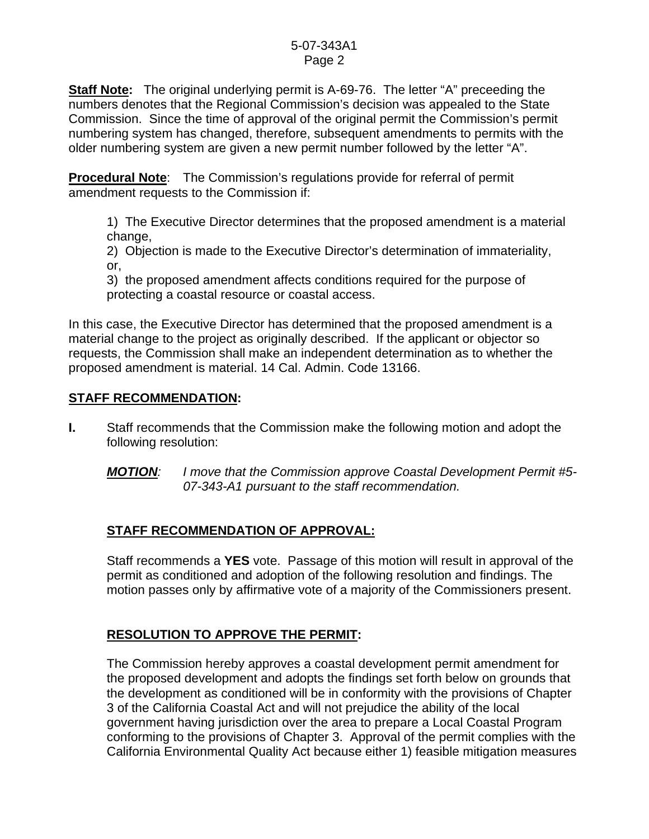**Staff Note:** The original underlying permit is A-69-76. The letter "A" preceeding the numbers denotes that the Regional Commission's decision was appealed to the State Commission. Since the time of approval of the original permit the Commission's permit numbering system has changed, therefore, subsequent amendments to permits with the older numbering system are given a new permit number followed by the letter "A".

**Procedural Note**: The Commission's regulations provide for referral of permit amendment requests to the Commission if:

1) The Executive Director determines that the proposed amendment is a material change,

2) Objection is made to the Executive Director's determination of immateriality, or,

3) the proposed amendment affects conditions required for the purpose of protecting a coastal resource or coastal access.

In this case, the Executive Director has determined that the proposed amendment is a material change to the project as originally described. If the applicant or objector so requests, the Commission shall make an independent determination as to whether the proposed amendment is material. 14 Cal. Admin. Code 13166.

# **STAFF RECOMMENDATION:**

- **I.** Staff recommends that the Commission make the following motion and adopt the following resolution:
	- *MOTION: I move that the Commission approve Coastal Development Permit #5- 07-343-A1 pursuant to the staff recommendation.*

# **STAFF RECOMMENDATION OF APPROVAL:**

Staff recommends a **YES** vote. Passage of this motion will result in approval of the permit as conditioned and adoption of the following resolution and findings. The motion passes only by affirmative vote of a majority of the Commissioners present.

# **RESOLUTION TO APPROVE THE PERMIT:**

The Commission hereby approves a coastal development permit amendment for the proposed development and adopts the findings set forth below on grounds that the development as conditioned will be in conformity with the provisions of Chapter 3 of the California Coastal Act and will not prejudice the ability of the local government having jurisdiction over the area to prepare a Local Coastal Program conforming to the provisions of Chapter 3. Approval of the permit complies with the California Environmental Quality Act because either 1) feasible mitigation measures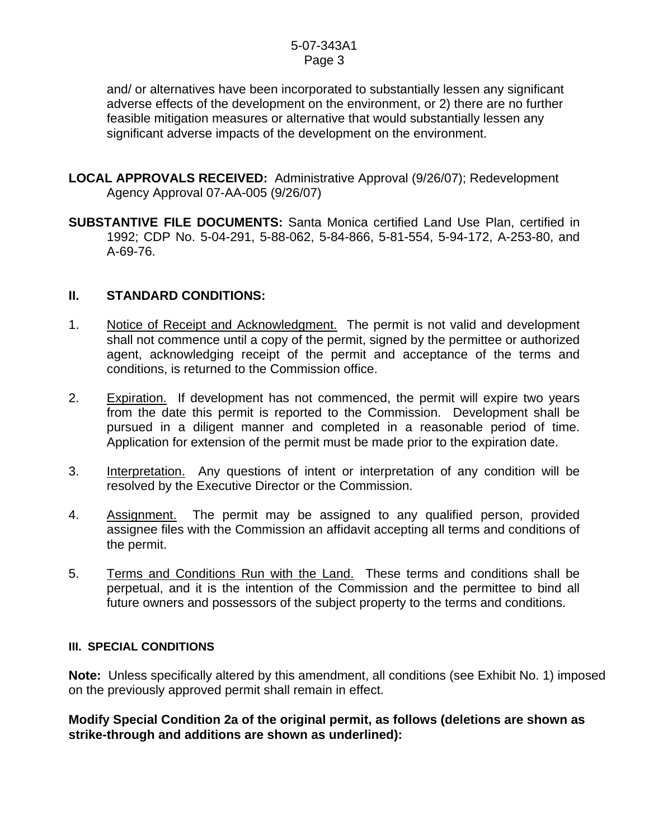and/ or alternatives have been incorporated to substantially lessen any significant adverse effects of the development on the environment, or 2) there are no further feasible mitigation measures or alternative that would substantially lessen any significant adverse impacts of the development on the environment.

- **LOCAL APPROVALS RECEIVED:** Administrative Approval (9/26/07); Redevelopment Agency Approval 07-AA-005 (9/26/07)
- **SUBSTANTIVE FILE DOCUMENTS:** Santa Monica certified Land Use Plan, certified in 1992; CDP No. 5-04-291, 5-88-062, 5-84-866, 5-81-554, 5-94-172, A-253-80, and A-69-76.

### **II. STANDARD CONDITIONS:**

- 1. Notice of Receipt and Acknowledgment. The permit is not valid and development shall not commence until a copy of the permit, signed by the permittee or authorized agent, acknowledging receipt of the permit and acceptance of the terms and conditions, is returned to the Commission office.
- 2. Expiration. If development has not commenced, the permit will expire two years from the date this permit is reported to the Commission. Development shall be pursued in a diligent manner and completed in a reasonable period of time. Application for extension of the permit must be made prior to the expiration date.
- 3. Interpretation. Any questions of intent or interpretation of any condition will be resolved by the Executive Director or the Commission.
- 4. Assignment. The permit may be assigned to any qualified person, provided assignee files with the Commission an affidavit accepting all terms and conditions of the permit.
- 5. Terms and Conditions Run with the Land. These terms and conditions shall be perpetual, and it is the intention of the Commission and the permittee to bind all future owners and possessors of the subject property to the terms and conditions.

### **III. SPECIAL CONDITIONS**

**Note:** Unless specifically altered by this amendment, all conditions (see Exhibit No. 1) imposed on the previously approved permit shall remain in effect.

**Modify Special Condition 2a of the original permit, as follows (deletions are shown as strike-through and additions are shown as underlined):**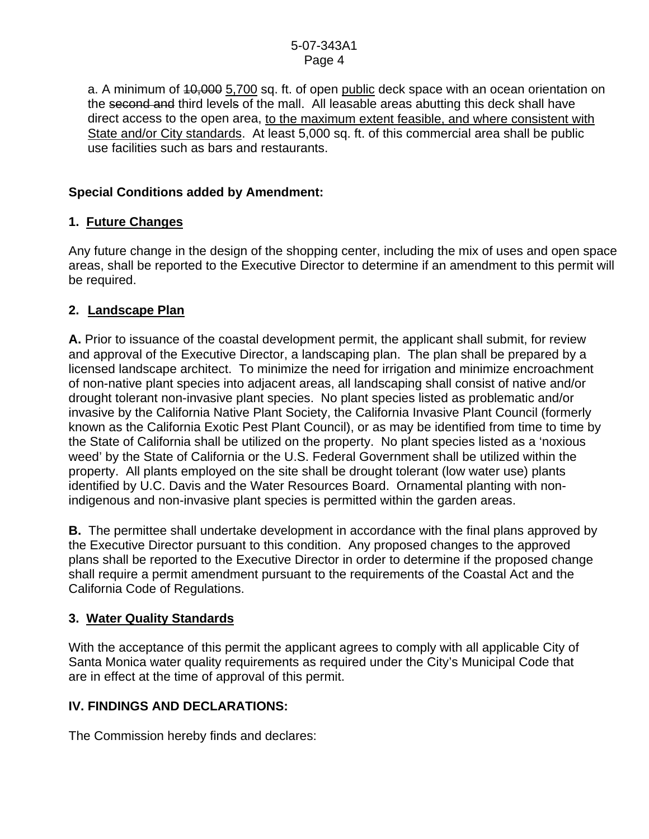a. A minimum of 10,000 5,700 sq. ft. of open public deck space with an ocean orientation on the second and third levels of the mall. All leasable areas abutting this deck shall have direct access to the open area, to the maximum extent feasible, and where consistent with State and/or City standards. At least 5,000 sq. ft. of this commercial area shall be public use facilities such as bars and restaurants.

# **Special Conditions added by Amendment:**

# **1. Future Changes**

Any future change in the design of the shopping center, including the mix of uses and open space areas, shall be reported to the Executive Director to determine if an amendment to this permit will be required.

# **2. Landscape Plan**

**A.** Prior to issuance of the coastal development permit, the applicant shall submit, for review and approval of the Executive Director, a landscaping plan. The plan shall be prepared by a licensed landscape architect. To minimize the need for irrigation and minimize encroachment of non-native plant species into adjacent areas, all landscaping shall consist of native and/or drought tolerant non-invasive plant species. No plant species listed as problematic and/or invasive by the California Native Plant Society, the California Invasive Plant Council (formerly known as the California Exotic Pest Plant Council), or as may be identified from time to time by the State of California shall be utilized on the property. No plant species listed as a 'noxious weed' by the State of California or the U.S. Federal Government shall be utilized within the property. All plants employed on the site shall be drought tolerant (low water use) plants identified by U.C. Davis and the Water Resources Board. Ornamental planting with nonindigenous and non-invasive plant species is permitted within the garden areas.

**B.** The permittee shall undertake development in accordance with the final plans approved by the Executive Director pursuant to this condition. Any proposed changes to the approved plans shall be reported to the Executive Director in order to determine if the proposed change shall require a permit amendment pursuant to the requirements of the Coastal Act and the California Code of Regulations.

# **3. Water Quality Standards**

With the acceptance of this permit the applicant agrees to comply with all applicable City of Santa Monica water quality requirements as required under the City's Municipal Code that are in effect at the time of approval of this permit.

# **IV. FINDINGS AND DECLARATIONS:**

The Commission hereby finds and declares: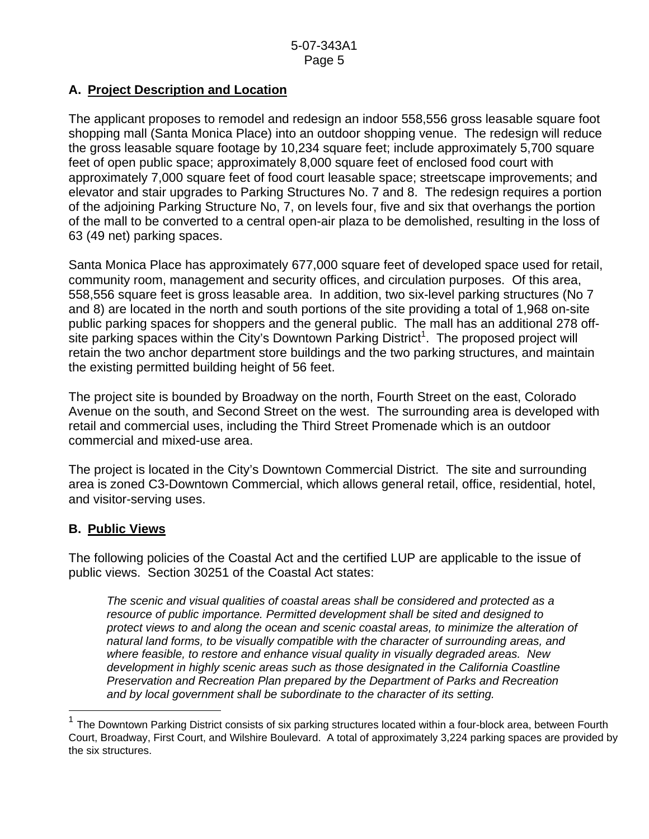# **A. Project Description and Location**

The applicant proposes to remodel and redesign an indoor 558,556 gross leasable square foot shopping mall (Santa Monica Place) into an outdoor shopping venue. The redesign will reduce the gross leasable square footage by 10,234 square feet; include approximately 5,700 square feet of open public space; approximately 8,000 square feet of enclosed food court with approximately 7,000 square feet of food court leasable space; streetscape improvements; and elevator and stair upgrades to Parking Structures No. 7 and 8. The redesign requires a portion of the adjoining Parking Structure No, 7, on levels four, five and six that overhangs the portion of the mall to be converted to a central open-air plaza to be demolished, resulting in the loss of 63 (49 net) parking spaces.

Santa Monica Place has approximately 677,000 square feet of developed space used for retail, community room, management and security offices, and circulation purposes. Of this area, 558,556 square feet is gross leasable area. In addition, two six-level parking structures (No 7 and 8) are located in the north and south portions of the site providing a total of 1,968 on-site public parking spaces for shoppers and the general public. The mall has an additional 278 off- $\overline{\phantom{a}}$  site parking spaces within the City's Downtown Parking District<sup>[1](#page-4-0)</sup>. The proposed project will retain the two anchor department store buildings and the two parking structures, and maintain the existing permitted building height of 56 feet.

The project site is bounded by Broadway on the north, Fourth Street on the east, Colorado Avenue on the south, and Second Street on the west. The surrounding area is developed with retail and commercial uses, including the Third Street Promenade which is an outdoor commercial and mixed-use area.

The project is located in the City's Downtown Commercial District. The site and surrounding area is zoned C3-Downtown Commercial, which allows general retail, office, residential, hotel, and visitor-serving uses.

### **B. Public Views**

l

The following policies of the Coastal Act and the certified LUP are applicable to the issue of public views. Section 30251 of the Coastal Act states:

*The scenic and visual qualities of coastal areas shall be considered and protected as a resource of public importance. Permitted development shall be sited and designed to protect views to and along the ocean and scenic coastal areas, to minimize the alteration of natural land forms, to be visually compatible with the character of surrounding areas, and where feasible, to restore and enhance visual quality in visually degraded areas. New development in highly scenic areas such as those designated in the California Coastline Preservation and Recreation Plan prepared by the Department of Parks and Recreation and by local government shall be subordinate to the character of its setting.* 

<span id="page-4-0"></span><sup>1</sup> The Downtown Parking District consists of six parking structures located within a four-block area, between Fourth Court, Broadway, First Court, and Wilshire Boulevard. A total of approximately 3,224 parking spaces are provided by the six structures.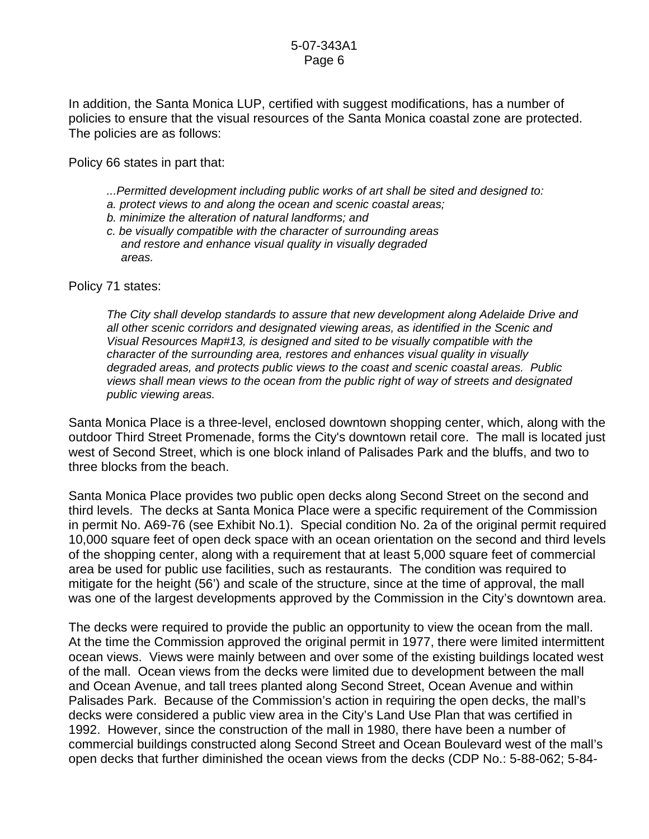In addition, the Santa Monica LUP, certified with suggest modifications, has a number of policies to ensure that the visual resources of the Santa Monica coastal zone are protected. The policies are as follows:

Policy 66 states in part that:

- *...Permitted development including public works of art shall be sited and designed to:*
- *a. protect views to and along the ocean and scenic coastal areas;*
- *b. minimize the alteration of natural landforms; and*
- *c. be visually compatible with the character of surrounding areas and restore and enhance visual quality in visually degraded areas.*

Policy 71 states:

*The City shall develop standards to assure that new development along Adelaide Drive and all other scenic corridors and designated viewing areas, as identified in the Scenic and Visual Resources Map#13, is designed and sited to be visually compatible with the character of the surrounding area, restores and enhances visual quality in visually degraded areas, and protects public views to the coast and scenic coastal areas. Public views shall mean views to the ocean from the public right of way of streets and designated public viewing areas.* 

Santa Monica Place is a three-level, enclosed downtown shopping center, which, along with the outdoor Third Street Promenade, forms the City's downtown retail core. The mall is located just west of Second Street, which is one block inland of Palisades Park and the bluffs, and two to three blocks from the beach.

Santa Monica Place provides two public open decks along Second Street on the second and third levels. The decks at Santa Monica Place were a specific requirement of the Commission in permit No. A69-76 (see Exhibit No.1). Special condition No. 2a of the original permit required 10,000 square feet of open deck space with an ocean orientation on the second and third levels of the shopping center, along with a requirement that at least 5,000 square feet of commercial area be used for public use facilities, such as restaurants. The condition was required to mitigate for the height (56') and scale of the structure, since at the time of approval, the mall was one of the largest developments approved by the Commission in the City's downtown area.

The decks were required to provide the public an opportunity to view the ocean from the mall. At the time the Commission approved the original permit in 1977, there were limited intermittent ocean views. Views were mainly between and over some of the existing buildings located west of the mall. Ocean views from the decks were limited due to development between the mall and Ocean Avenue, and tall trees planted along Second Street, Ocean Avenue and within Palisades Park. Because of the Commission's action in requiring the open decks, the mall's decks were considered a public view area in the City's Land Use Plan that was certified in 1992. However, since the construction of the mall in 1980, there have been a number of commercial buildings constructed along Second Street and Ocean Boulevard west of the mall's open decks that further diminished the ocean views from the decks (CDP No.: 5-88-062; 5-84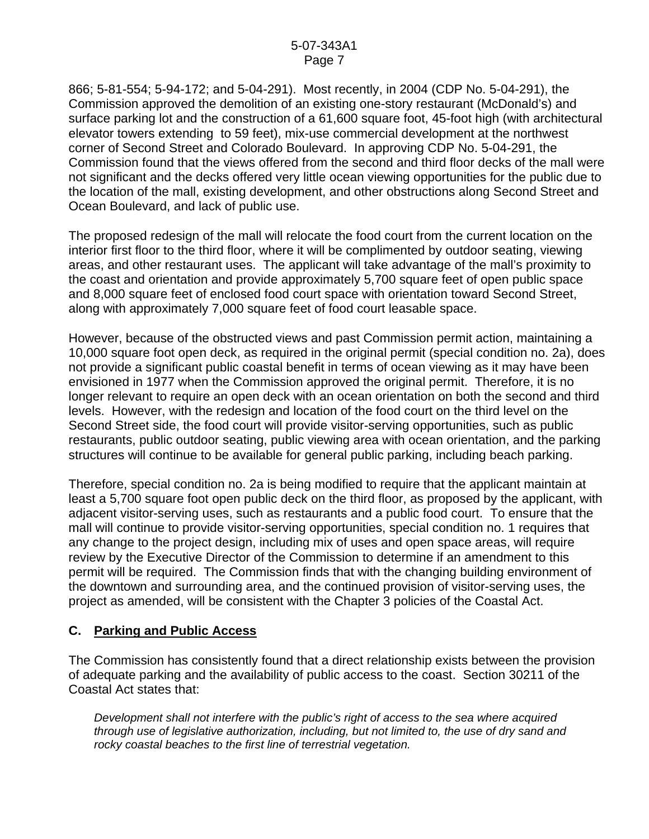866; 5-81-554; 5-94-172; and 5-04-291). Most recently, in 2004 (CDP No. 5-04-291), the Commission approved the demolition of an existing one-story restaurant (McDonald's) and surface parking lot and the construction of a 61,600 square foot, 45-foot high (with architectural elevator towers extending to 59 feet), mix-use commercial development at the northwest corner of Second Street and Colorado Boulevard. In approving CDP No. 5-04-291, the Commission found that the views offered from the second and third floor decks of the mall were not significant and the decks offered very little ocean viewing opportunities for the public due to the location of the mall, existing development, and other obstructions along Second Street and Ocean Boulevard, and lack of public use.

The proposed redesign of the mall will relocate the food court from the current location on the interior first floor to the third floor, where it will be complimented by outdoor seating, viewing areas, and other restaurant uses. The applicant will take advantage of the mall's proximity to the coast and orientation and provide approximately 5,700 square feet of open public space and 8,000 square feet of enclosed food court space with orientation toward Second Street, along with approximately 7,000 square feet of food court leasable space.

However, because of the obstructed views and past Commission permit action, maintaining a 10,000 square foot open deck, as required in the original permit (special condition no. 2a), does not provide a significant public coastal benefit in terms of ocean viewing as it may have been envisioned in 1977 when the Commission approved the original permit. Therefore, it is no longer relevant to require an open deck with an ocean orientation on both the second and third levels. However, with the redesign and location of the food court on the third level on the Second Street side, the food court will provide visitor-serving opportunities, such as public restaurants, public outdoor seating, public viewing area with ocean orientation, and the parking structures will continue to be available for general public parking, including beach parking.

Therefore, special condition no. 2a is being modified to require that the applicant maintain at least a 5,700 square foot open public deck on the third floor, as proposed by the applicant, with adjacent visitor-serving uses, such as restaurants and a public food court. To ensure that the mall will continue to provide visitor-serving opportunities, special condition no. 1 requires that any change to the project design, including mix of uses and open space areas, will require review by the Executive Director of the Commission to determine if an amendment to this permit will be required. The Commission finds that with the changing building environment of the downtown and surrounding area, and the continued provision of visitor-serving uses, the project as amended, will be consistent with the Chapter 3 policies of the Coastal Act.

## **C. Parking and Public Access**

The Commission has consistently found that a direct relationship exists between the provision of adequate parking and the availability of public access to the coast. Section 30211 of the Coastal Act states that:

*Development shall not interfere with the public's right of access to the sea where acquired through use of legislative authorization, including, but not limited to, the use of dry sand and rocky coastal beaches to the first line of terrestrial vegetation.*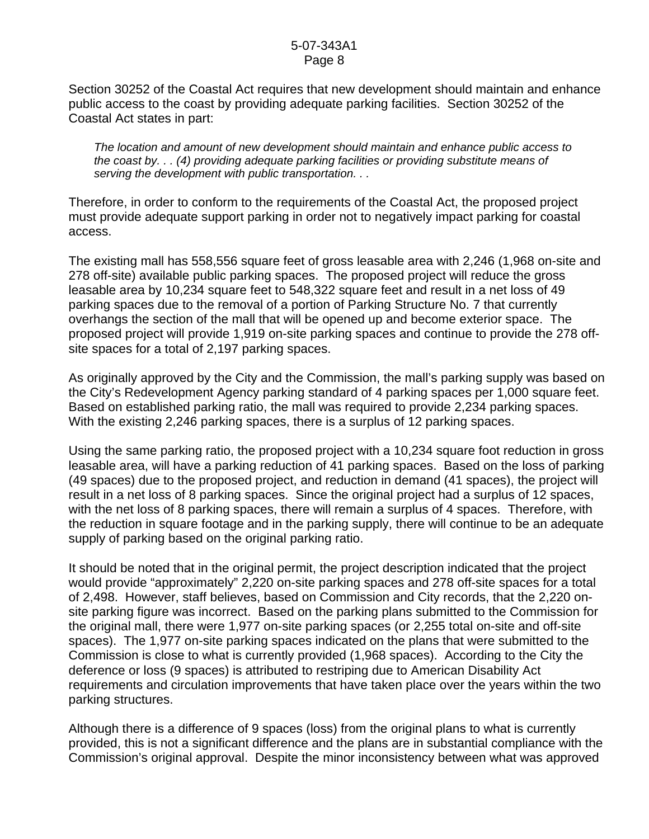Section 30252 of the Coastal Act requires that new development should maintain and enhance public access to the coast by providing adequate parking facilities. Section 30252 of the Coastal Act states in part:

*The location and amount of new development should maintain and enhance public access to the coast by. . . (4) providing adequate parking facilities or providing substitute means of serving the development with public transportation. . .* 

Therefore, in order to conform to the requirements of the Coastal Act, the proposed project must provide adequate support parking in order not to negatively impact parking for coastal access.

The existing mall has 558,556 square feet of gross leasable area with 2,246 (1,968 on-site and 278 off-site) available public parking spaces. The proposed project will reduce the gross leasable area by 10,234 square feet to 548,322 square feet and result in a net loss of 49 parking spaces due to the removal of a portion of Parking Structure No. 7 that currently overhangs the section of the mall that will be opened up and become exterior space. The proposed project will provide 1,919 on-site parking spaces and continue to provide the 278 offsite spaces for a total of 2,197 parking spaces.

As originally approved by the City and the Commission, the mall's parking supply was based on the City's Redevelopment Agency parking standard of 4 parking spaces per 1,000 square feet. Based on established parking ratio, the mall was required to provide 2,234 parking spaces. With the existing 2,246 parking spaces, there is a surplus of 12 parking spaces.

Using the same parking ratio, the proposed project with a 10,234 square foot reduction in gross leasable area, will have a parking reduction of 41 parking spaces. Based on the loss of parking (49 spaces) due to the proposed project, and reduction in demand (41 spaces), the project will result in a net loss of 8 parking spaces. Since the original project had a surplus of 12 spaces, with the net loss of 8 parking spaces, there will remain a surplus of 4 spaces. Therefore, with the reduction in square footage and in the parking supply, there will continue to be an adequate supply of parking based on the original parking ratio.

It should be noted that in the original permit, the project description indicated that the project would provide "approximately" 2,220 on-site parking spaces and 278 off-site spaces for a total of 2,498. However, staff believes, based on Commission and City records, that the 2,220 onsite parking figure was incorrect. Based on the parking plans submitted to the Commission for the original mall, there were 1,977 on-site parking spaces (or 2,255 total on-site and off-site spaces). The 1,977 on-site parking spaces indicated on the plans that were submitted to the Commission is close to what is currently provided (1,968 spaces). According to the City the deference or loss (9 spaces) is attributed to restriping due to American Disability Act requirements and circulation improvements that have taken place over the years within the two parking structures.

Although there is a difference of 9 spaces (loss) from the original plans to what is currently provided, this is not a significant difference and the plans are in substantial compliance with the Commission's original approval. Despite the minor inconsistency between what was approved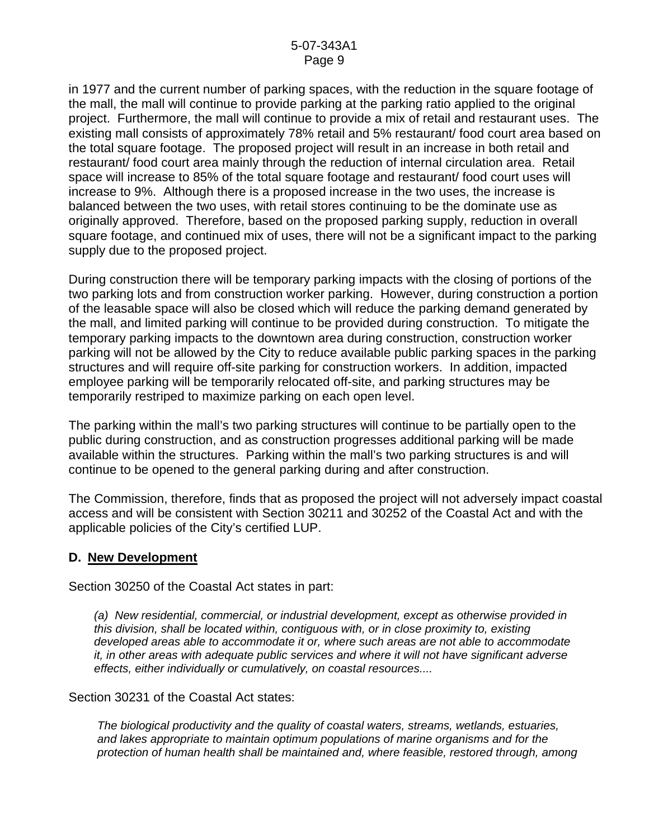in 1977 and the current number of parking spaces, with the reduction in the square footage of the mall, the mall will continue to provide parking at the parking ratio applied to the original project. Furthermore, the mall will continue to provide a mix of retail and restaurant uses. The existing mall consists of approximately 78% retail and 5% restaurant/ food court area based on the total square footage. The proposed project will result in an increase in both retail and restaurant/ food court area mainly through the reduction of internal circulation area. Retail space will increase to 85% of the total square footage and restaurant/ food court uses will increase to 9%. Although there is a proposed increase in the two uses, the increase is balanced between the two uses, with retail stores continuing to be the dominate use as originally approved. Therefore, based on the proposed parking supply, reduction in overall square footage, and continued mix of uses, there will not be a significant impact to the parking supply due to the proposed project.

During construction there will be temporary parking impacts with the closing of portions of the two parking lots and from construction worker parking. However, during construction a portion of the leasable space will also be closed which will reduce the parking demand generated by the mall, and limited parking will continue to be provided during construction. To mitigate the temporary parking impacts to the downtown area during construction, construction worker parking will not be allowed by the City to reduce available public parking spaces in the parking structures and will require off-site parking for construction workers. In addition, impacted employee parking will be temporarily relocated off-site, and parking structures may be temporarily restriped to maximize parking on each open level.

The parking within the mall's two parking structures will continue to be partially open to the public during construction, and as construction progresses additional parking will be made available within the structures. Parking within the mall's two parking structures is and will continue to be opened to the general parking during and after construction.

The Commission, therefore, finds that as proposed the project will not adversely impact coastal access and will be consistent with Section 30211 and 30252 of the Coastal Act and with the applicable policies of the City's certified LUP.

### **D. New Development**

Section 30250 of the Coastal Act states in part:

*(a) New residential, commercial, or industrial development, except as otherwise provided in this division, shall be located within, contiguous with, or in close proximity to, existing developed areas able to accommodate it or, where such areas are not able to accommodate it, in other areas with adequate public services and where it will not have significant adverse effects, either individually or cumulatively, on coastal resources....* 

Section 30231 of the Coastal Act states:

*The biological productivity and the quality of coastal waters, streams, wetlands, estuaries, and lakes appropriate to maintain optimum populations of marine organisms and for the protection of human health shall be maintained and, where feasible, restored through, among*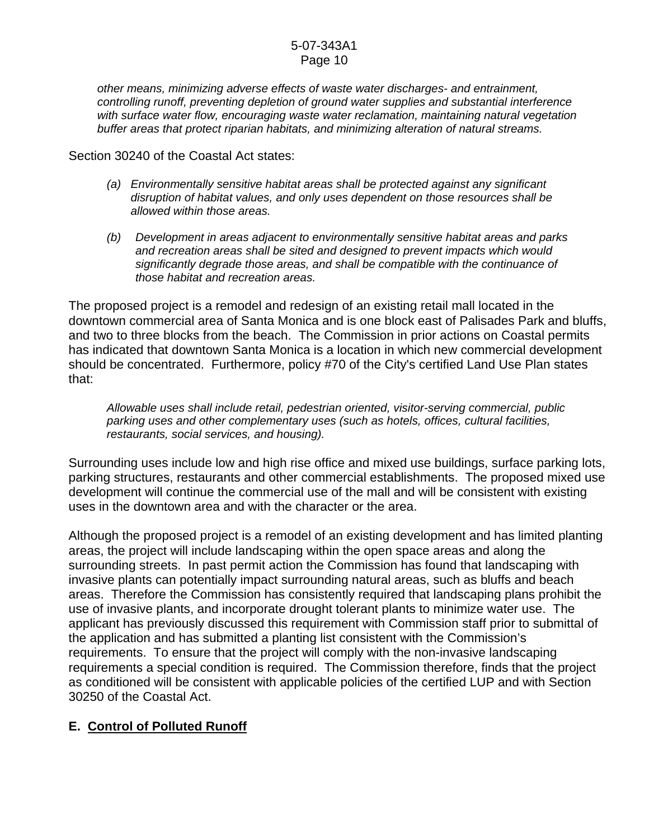*other means, minimizing adverse effects of waste water discharges- and entrainment, controlling runoff, preventing depletion of ground water supplies and substantial interference with surface water flow, encouraging waste water reclamation, maintaining natural vegetation buffer areas that protect riparian habitats, and minimizing alteration of natural streams.* 

Section 30240 of the Coastal Act states:

- *(a) Environmentally sensitive habitat areas shall be protected against any significant disruption of habitat values, and only uses dependent on those resources shall be allowed within those areas.*
- *(b) Development in areas adjacent to environmentally sensitive habitat areas and parks and recreation areas shall be sited and designed to prevent impacts which would significantly degrade those areas, and shall be compatible with the continuance of those habitat and recreation areas.*

The proposed project is a remodel and redesign of an existing retail mall located in the downtown commercial area of Santa Monica and is one block east of Palisades Park and bluffs, and two to three blocks from the beach. The Commission in prior actions on Coastal permits has indicated that downtown Santa Monica is a location in which new commercial development should be concentrated. Furthermore, policy #70 of the City's certified Land Use Plan states that:

*Allowable uses shall include retail, pedestrian oriented, visitor-serving commercial, public parking uses and other complementary uses (such as hotels, offices, cultural facilities, restaurants, social services, and housing).* 

Surrounding uses include low and high rise office and mixed use buildings, surface parking lots, parking structures, restaurants and other commercial establishments. The proposed mixed use development will continue the commercial use of the mall and will be consistent with existing uses in the downtown area and with the character or the area.

Although the proposed project is a remodel of an existing development and has limited planting areas, the project will include landscaping within the open space areas and along the surrounding streets. In past permit action the Commission has found that landscaping with invasive plants can potentially impact surrounding natural areas, such as bluffs and beach areas. Therefore the Commission has consistently required that landscaping plans prohibit the use of invasive plants, and incorporate drought tolerant plants to minimize water use. The applicant has previously discussed this requirement with Commission staff prior to submittal of the application and has submitted a planting list consistent with the Commission's requirements. To ensure that the project will comply with the non-invasive landscaping requirements a special condition is required. The Commission therefore, finds that the project as conditioned will be consistent with applicable policies of the certified LUP and with Section 30250 of the Coastal Act.

# **E. Control of Polluted Runoff**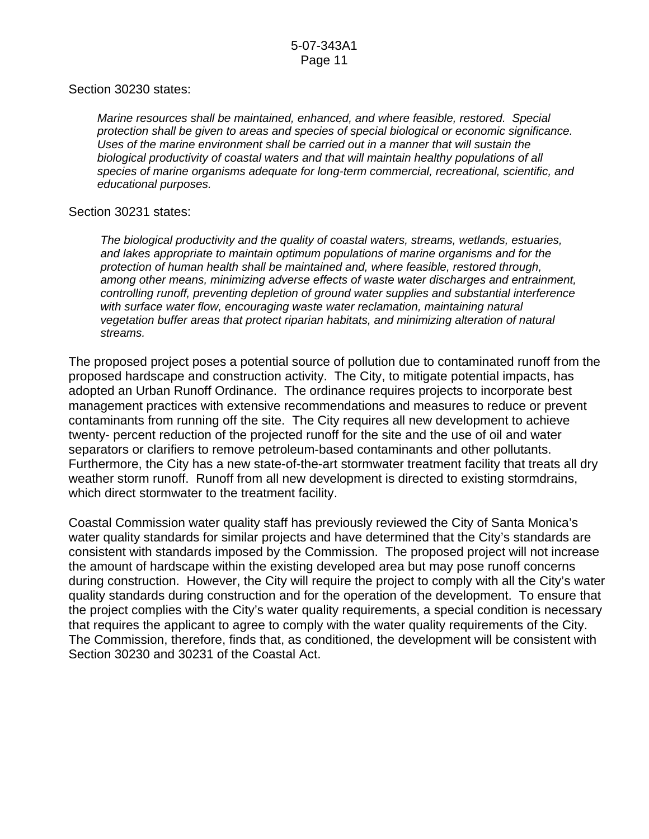#### Section 30230 states:

*Marine resources shall be maintained, enhanced, and where feasible, restored. Special protection shall be given to areas and species of special biological or economic significance. Uses of the marine environment shall be carried out in a manner that will sustain the biological productivity of coastal waters and that will maintain healthy populations of all species of marine organisms adequate for long-term commercial, recreational, scientific, and educational purposes.* 

#### Section 30231 states:

*The biological productivity and the quality of coastal waters, streams, wetlands, estuaries, and lakes appropriate to maintain optimum populations of marine organisms and for the protection of human health shall be maintained and, where feasible, restored through, among other means, minimizing adverse effects of waste water discharges and entrainment, controlling runoff, preventing depletion of ground water supplies and substantial interference*  with surface water flow, encouraging waste water reclamation, maintaining natural *vegetation buffer areas that protect riparian habitats, and minimizing alteration of natural streams.* 

The proposed project poses a potential source of pollution due to contaminated runoff from the proposed hardscape and construction activity. The City, to mitigate potential impacts, has adopted an Urban Runoff Ordinance. The ordinance requires projects to incorporate best management practices with extensive recommendations and measures to reduce or prevent contaminants from running off the site. The City requires all new development to achieve twenty- percent reduction of the projected runoff for the site and the use of oil and water separators or clarifiers to remove petroleum-based contaminants and other pollutants. Furthermore, the City has a new state-of-the-art stormwater treatment facility that treats all dry weather storm runoff. Runoff from all new development is directed to existing stormdrains, which direct stormwater to the treatment facility.

Coastal Commission water quality staff has previously reviewed the City of Santa Monica's water quality standards for similar projects and have determined that the City's standards are consistent with standards imposed by the Commission. The proposed project will not increase the amount of hardscape within the existing developed area but may pose runoff concerns during construction. However, the City will require the project to comply with all the City's water quality standards during construction and for the operation of the development. To ensure that the project complies with the City's water quality requirements, a special condition is necessary that requires the applicant to agree to comply with the water quality requirements of the City. The Commission, therefore, finds that, as conditioned, the development will be consistent with Section 30230 and 30231 of the Coastal Act.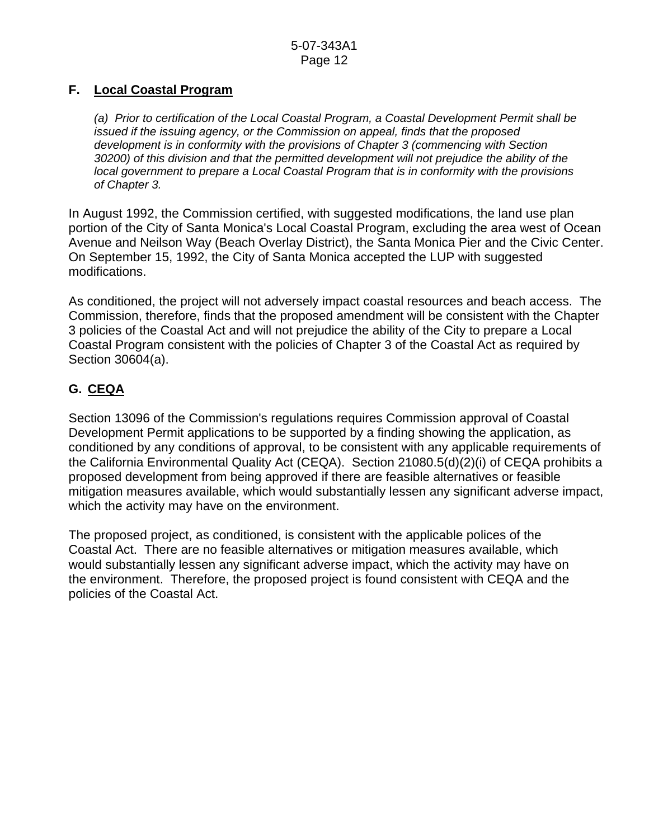# **F. Local Coastal Program**

*(a) Prior to certification of the Local Coastal Program, a Coastal Development Permit shall be issued if the issuing agency, or the Commission on appeal, finds that the proposed development is in conformity with the provisions of Chapter 3 (commencing with Section 30200) of this division and that the permitted development will not prejudice the ability of the local government to prepare a Local Coastal Program that is in conformity with the provisions of Chapter 3.* 

In August 1992, the Commission certified, with suggested modifications, the land use plan portion of the City of Santa Monica's Local Coastal Program, excluding the area west of Ocean Avenue and Neilson Way (Beach Overlay District), the Santa Monica Pier and the Civic Center. On September 15, 1992, the City of Santa Monica accepted the LUP with suggested modifications.

As conditioned, the project will not adversely impact coastal resources and beach access. The Commission, therefore, finds that the proposed amendment will be consistent with the Chapter 3 policies of the Coastal Act and will not prejudice the ability of the City to prepare a Local Coastal Program consistent with the policies of Chapter 3 of the Coastal Act as required by Section 30604(a).

# **G. CEQA**

Section 13096 of the Commission's regulations requires Commission approval of Coastal Development Permit applications to be supported by a finding showing the application, as conditioned by any conditions of approval, to be consistent with any applicable requirements of the California Environmental Quality Act (CEQA). Section 21080.5(d)(2)(i) of CEQA prohibits a proposed development from being approved if there are feasible alternatives or feasible mitigation measures available, which would substantially lessen any significant adverse impact, which the activity may have on the environment.

The proposed project, as conditioned, is consistent with the applicable polices of the Coastal Act. There are no feasible alternatives or mitigation measures available, which would substantially lessen any significant adverse impact, which the activity may have on the environment. Therefore, the proposed project is found consistent with CEQA and the policies of the Coastal Act.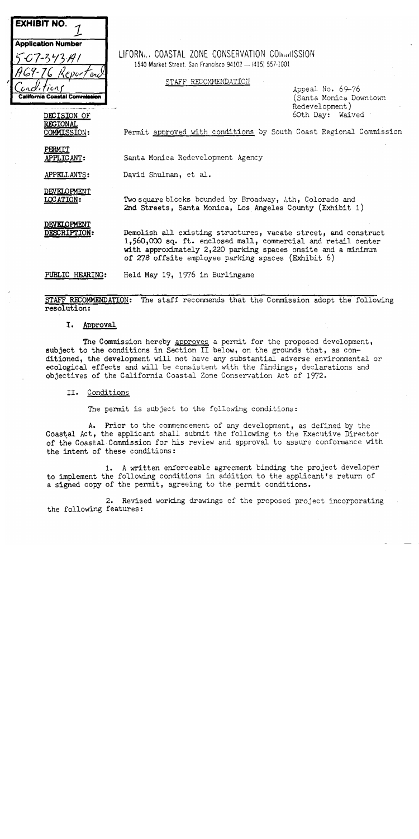

LIFORN., COASTAL ZONE CONSERVATION COINVILSSION 1540 Market Street, San Francisco 94102 - (415) 557-1001

STAFF RECOMMENDATION

Appeal No. 69-76 (Santa Monica Downtown Redevelopment) 60th Day: Waived

Permit approved with conditions by South Coast Regional Commission

**PERMIT** APPLICANT:

DECISION OF **REGIONAL** 

COMMISSION:

Santa Monica Redevelopment Agency

David Shulman, et al. APPELLANTS:

DEVELOPMENT **LOCATION:** 

Two square blocks bounded by Broadway, 4th, Colorado and 2nd Streets, Santa Monica, Los Angeles County (Exhibit 1)

DEVELOPMENT DESCRIPTION:

Demolish all existing structures, vacate street, and construct 1,560,000 sq. ft. enclosed mall, commercial and retail center with approximately 2,220 parking spaces onsite and a minimum of 278 offsite employee parking spaces (Exhibit 6)

Held May 19, 1976 in Burlingame PUBLIC HEARING:

STAFF RECOMMENDATION: The staff recommends that the Commission adopt the following resolution:

#### I. Approval

The Commission hereby approves a permit for the proposed development, subject to the conditions in Section II below, on the grounds that, as conditioned, the development will not have any substantial adverse environmental or ecological effects and will be consistent with the findings, declarations and objectives of the California Coastal Zone Conservation Act of 1972.

#### II. Conditions

The permit is subject to the following conditions:

A. Prior to the commencement of any development, as defined by the Coastal Act, the applicant shall submit the following to the Executive Director of the Coastal Commission for his review and approval to assure conformance with the intent of these conditions:

1. A written enforceable agreement binding the project developer to implement the following conditions in addition to the applicant's return of a signed copy of the permit, agreeing to the permit conditions.

2. Revised working drawings of the proposed project incorporating the following features: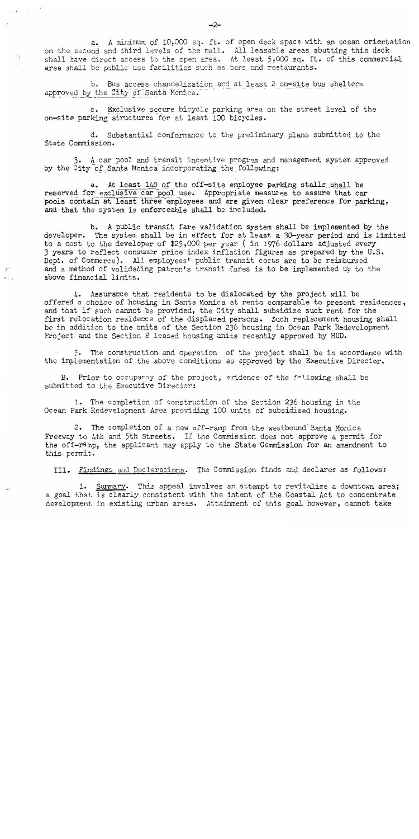a. A minimum of 10,000 sq. ft. of open deck space with an ocean orientation on the second and third levels of the mall. All leasable areas abutting this deck shall have direct access to the open area. At least 5,000 sq. ft. of this commercial area shall be public use facilities such as bars and restaurants.

b. Bus access channelization and at least 2 on-site bus shelters approved by the City of Santa Monica.

c. Exclusive secure bicycle parking area on the street level of the on-site parking structures for at least 100 bicycles.

d. Substantial conformance to the preliminary plans submitted to the State Commission.

3. A car pool and transit incentive program and management system approved by the City of Santa Monica incorporating the following:

a. At least 140 of the off-site employee parking stalls shall be reserved for exclusive car pool use. Appropriate measures to assure that car pools contain at least three employees and are given clear preference for parking, and that the system is enforceable shall be included.

b. A public transit fare validation system shall be implemented by the developer. The system shall be in effect for at least a 30-year period and is limited to a cost to the developer of \$25,000 per year (in 1976 dollars adjusted every 3 years to reflect consumer price index inflation figures as prepared by the U.S. Dept. of Commerce). All employees' public transit costs are to be reimbursed<br>and a method of validating patron's transit fares is to be implemented up to the above financial limits.

4. Assurance that residents to be dislocated by the project will be offered a choice of housing in Santa Monica at rents comparable to present residences, and that if such cannot be provided, the City shall subsidize such rent for the first relocation residence of the displaced persons. Such replacement housing shall be in addition to the units of the Section 236 housing in Ocean Park Redevelopment Project and the Section 8 leased housing units recently approved by HUD.

5. The construction and operation of the project shall be in accordance with the implementation of the above conditions as approved by the Executive Director.

B. Prior to occupancy of the project, evidence of the following shall be submitted to the Executive Director:

 $\sqrt{2}$ 

1. The completion of construction of the Section 236 housing in the Ocean Park Redevelopment Area providing 100 units of subsidized housing.

2. The completion of a new off-ramp from the westbound Santa Monica Freeway to 4th and 5th Streets. If the Commission does not approve a permit for the off-ramp, the applicant may apply to the State Commission for an amendment to this permit.

III. Findings and Declarations. The Commission finds and declares as follows:

1. Summary. This appeal involves an attempt to revitalize a downtown area; a goal that is clearly consistent with the intent of the Coastal Act to concentrate development in existing urban areas. Attainment of this goal however, cannot take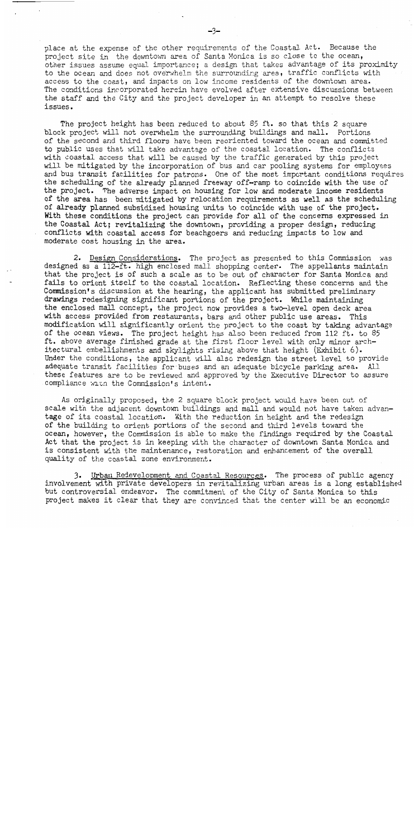place at the expense of the other requirements of the Coastal Act. Because the project site in the downtown area of Santa Monica is so close to the ocean, other issues assume equal importance; a design that takes advantage of its proximity to the ocean and does not overwhelm the surrounding area, traffic conflicts with access to the coast, and impacts on low income residents of the downtown area. The conditions incorporated herein have evolved after extensive discussions between the staff and the City and the project developer in an attempt to resolve these issues.

The project height has been reduced to about 85 ft. so that this 2 square block project will not overwhelm the surrounding buildings and mall. Portions of the second and third floors have been reoriented toward the ocean and committed to public uses that will take advantage of the coastal location. The conflicts with coastal access that will be caused by the traffic generated by this project will be mitigated by the incorporation of bus and car pooling systems for employees and bus transit facilities for patrons. One of the most important conditions requires the scheduling of the already planned freeway off-ramp to coincide with the use of the project. The adverse impact on housing for low and moderate income residents of the area has been mitigated by relocation requirements as well as the scheduling of already planned subsidized housing units to coincide with use of the project. With these conditions the project can provide for all of the concerns expressed in the Coastal Act; revitalizing the downtown, providing a proper design, reducing conflicts with coastal access for beachgoers and reducing impacts to low and moderate cost housing in the area.

2. Design Considerations. The project as presented to this Commission was designed as a 112-ft. high enclosed mall shopping center. The appellants maintain that the project is of such a scale as to be out of character for Santa Monica and fails to orient itself to the coastal location. Reflecting these concerns and the Commission's discussion at the hearing, the applicant has submitted preliminary drawings redesigning significant portions of the project. While maintaining the enclosed mall concept, the project now provides a two-level open deck area with access provided from restaurants, bars and other public use areas. This modification will significantly orient the project to the coast by taking advantage of the ocean views. The project height has also been reduced from 112 ft. to 85 ft. above average finished grade at the first floor level with only minor architectural embellishments and skylights rising above that height (Exhibit 6). Under the conditions, the applicant will also redesign the street level to provide adequate transit facilities for buses and an adequate bicycle parking area. All these features are to be reviewed and approved by the Executive Director to assure compliance with the Commission's intent.

As originally proposed, the 2 square block project would have been out of scale with the adjacent downtown buildings and mall and would not have taken advantage of its coastal location. With the reduction in height and the redesign of the building to orient portions of the second and third levels toward the ocean, however, the Commission is able to make the findings required by the Coastal Act that the project is in keeping with the character of downtown Santa Monica and is consistent with the maintenance, restoration and enhancement of the overall quality of the coastal zone environment.

3. Urban Redevelopment and Coastal Resources. The process of public agency involvement with private developers in revitalizing urban areas is a long established but controversial endeavor. The commitment of the City of Santa Monica to this project makes it clear that they are convinced that the center will be an economic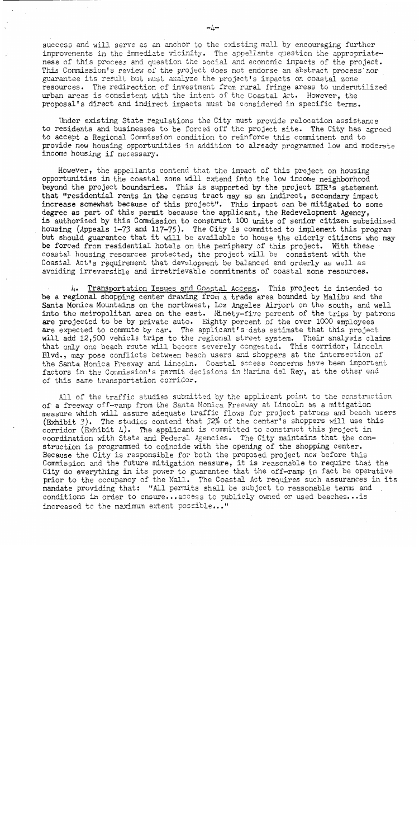success and will serve as an anchor to the existing mall by encouraging further improvements in the immediate vicinity. The appellants question the appropriateness of this process and question the social and economic impacts of the project. This Commission's review of the project does not endorse an abstract process nor guarantee its result but must analyze the project's impacts on coastal zone resources. The redirection of investment from rural fringe areas to underutilized urban areas is consistent with the intent of the Coastal Act. However, the proposal's direct and indirect impacts must be considered in specific terms.

Under existing State regulations the City must provide relocation assistance to residents and businesses to be forced off the project site. The City has agreed to accept a Regional Commission condition to reinforce this commitment and to provide new housing opportunities in addition to already programmed low and moderate income housing if necessary.

However, the appellants contend that the impact of this project on housing opportunities in the coastal zone will extend into the low income neighborhood beyond the project boundaries. This is supported by the project EIR's statement that "residential rents in the census tract may as an indirect, secondary impact increase somewhat because of this project". This impact can be mitigated to some degree as part of this permit because the applicant, the Redevelopment Agency, is authorized by this Commission to construct 100 units of senior citizen subsidized housing (Appeals 1-73 and 117-75). The City is committed to implement this program but should guarantee that it will be available to house the elderly citizens who may be forced from residential hotels on the periphery of this project. With these coastal housing resources protected, the project will be consistent with the Coastal Act's requirement that development be balanced and orderly as well as avoiding irreversible and irretrievable commitments of coastal zone resources.

4. Transportation Issues and Coastal Access. This project is intended to be a regional shopping center drawing from a trade area bounded by Malibu and the Santa Monica Mountains on the northwest, Los Angeles Airport on the south, and well into the metropolitan area on the east. Ninety-five percent of the trips by patrons are projected to be by private auto. Eighty percent of the over 1000 employees are expected to commute by car. The applicant's data estimate that this project will add 12,500 vehicle trips to the regional street system. Their analysis claims that only one beach route will become severely congested. This corridor, Lincoln Blvd., may pose conflicts between beach users and shoppers at the intersection of the Santa Monica Freeway and Lincoln. Coastal access concerns have been important factors in the Commission's permit decisions in Marina del Rey, at the other end of this same transportation corridor.

All of the traffic studies submitted by the applicant point to the construction of a freeway off-ramp from the Santa Monica Freeway at Lincoln as a mitigation measure which will assure adequate traffic flows for project patrons and beach users (Exhibit 3). The studies contend that 32% of the center's shoppers will use this corridor (Exhibit 4). The applicant is committed to construct this project in coordination with State and Federal Agencies. The City maintains that the construction is programmed to coincide with the opening of the shopping center. Because the City is responsible for both the proposed project now before this Commission and the future mitigation measure, it is reasonable to require that the City do everything in its power to guarantee that the off-ramp in fact be operative prior to the occupancy of the Mall. The Coastal Act requires such assurances in its mandate providing that: "All permits shall be subject to reasonable terms and conditions in order to ensure...access to publicly owned or used beaches... is increased to the maximum extent possible..."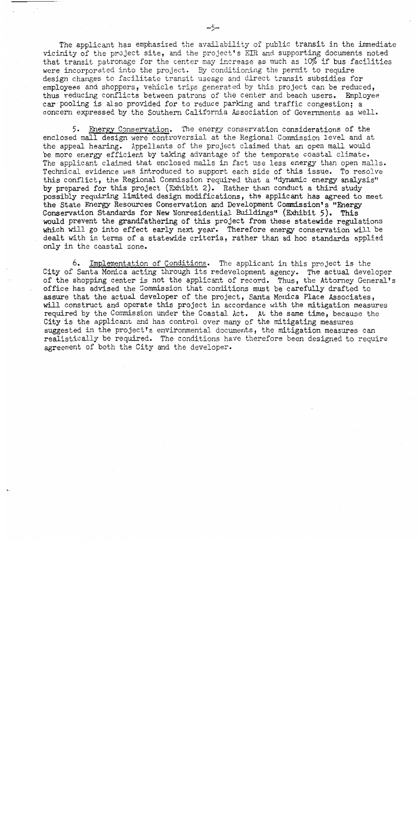The applicant has emphasized the availability of public transit in the immediate vicinity of the project site, and the project's EIR and supporting documents noted that transit patronage for the center may increase as much as 10% if bus facilities were incorporated into the project. By conditioning the permit to require design changes to facilitate transit useage and direct transit subsidies for employees and shoppers, vehicle trips generated by this project can be reduced, thus reducing conflicts between patrons of the center and beach users. Employee car pooling is also provided for to reduce parking and traffic congestion; a concern expressed by the Southern California Association of Governments as well.

5. Energy Conservation. The energy conservation considerations of the enclosed mall design were controversial at the Regional Commission level and at the appeal hearing. Appellants of the project claimed that an open mall would be more energy efficient by taking advantage of the temporate coastal climate. The applicant claimed that enclosed malls in fact use less energy than open malls. Technical evidence was introduced to support each side of this issue. To resolve this conflict, the Regional Commission required that a "dynamic energy analysis" by prepared for this project (Exhibit 2). Rather than conduct a third study possibly requiring limited design modifications, the applicant has agreed to meet the State Energy Resources Conservation and Development Commission's "Energy Conservation Standards for New Nonresidential Buildings" (Exhibit 5). This would prevent the grandfathering of this project from these statewide regulations which will go into effect early next year. Therefore energy conservation will be dealt with in terms of a statewide criteria, rather than ad hoc standards applied only in the coastal zone.

Implementation of Conditions. The applicant in this project is the 6. City of Santa Monica acting through its redevelopment agency. The actual developer of the shopping center is not the applicant of record. Thus, the Attorney General's office has advised the Commission that conditions must be carefully drafted to assure that the actual developer of the project, Santa Monica Place Associates, will construct and operate this project in accordance with the mitigation measures required by the Commission under the Coastal Act. At the same time, because the City is the applicant and has control over many of the mitigating measures suggested in the project's environmental documents, the mitigation measures can realistically be required. The conditions have therefore been designed to require agreement of both the City and the developer.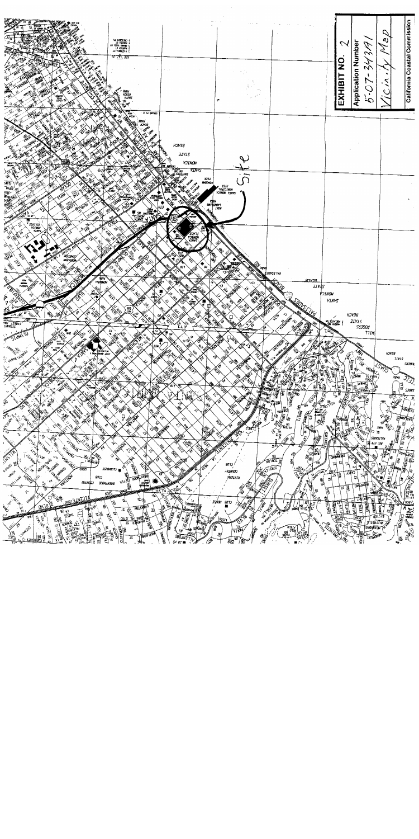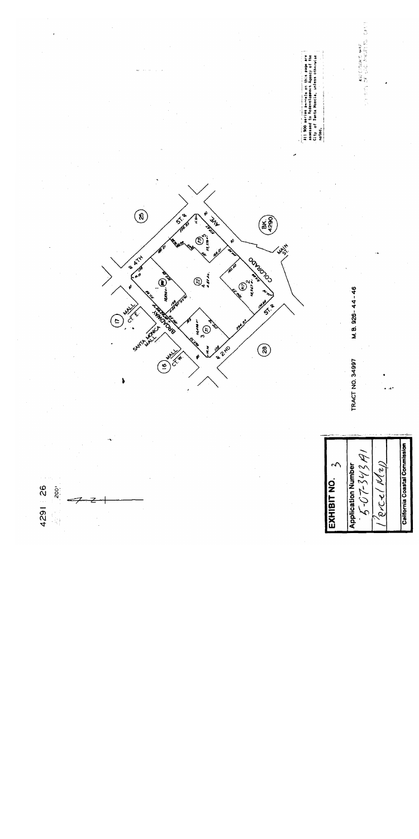AD SEPTEMBER 1997<br>And Start 2007<br>And Start 1997 All 900 meries parcello ni his pape are<br>essessed to Redevelopment Agency of the<br>Gity of Sunta Moncia, unless otherwise<br>noted.  $\circledast$  $5^{12}$  $\mathcal{L}_{\mathcal{U}}$ **BK)**<br>4290 ම 1,579 **3 4 1 1 1** OOK40702  $\bigotimes_{\bullet}$ **E**  $\begin{pmatrix} y_1 \\ y_2 \\ z_3 \\ z_4 \end{pmatrix}$ 14.14 M.B. 926-44-46  $4.3$  $\frac{1}{\sqrt{2}}$ THATCH THE Samer<br>B<br>C E. France SAST **22HO**  $\circledast$ Š  $\frac{1}{\hat{c}^2}$ TRACT NO. 34997  $\left( \begin{matrix} 6 \end{matrix} \right)$ California Coastal Commission  $5 - 07 - 3434$  $\zeta$ (NeW) **Application Number** EXHIBIT NO. 4291 26  $rac{1}{200}$ arcel  $\frac{1}{2}$  $\cdot$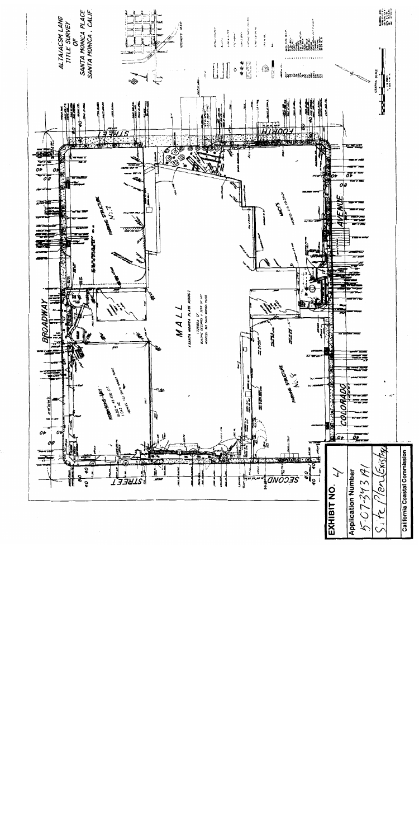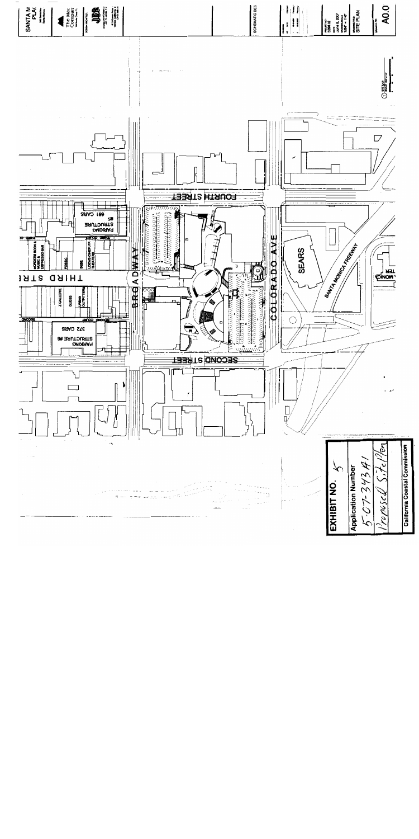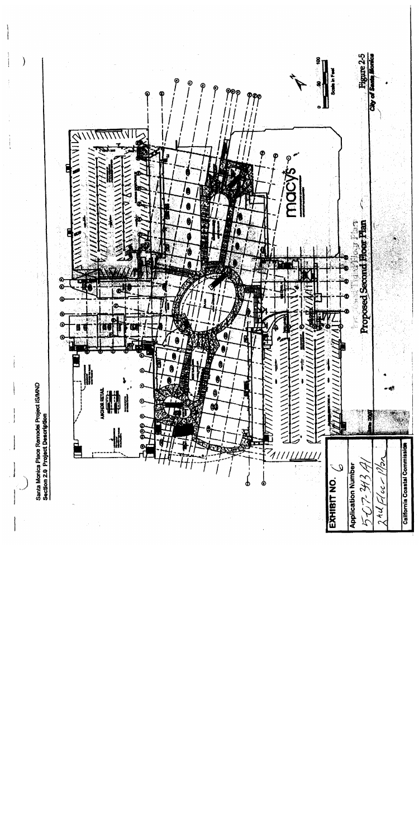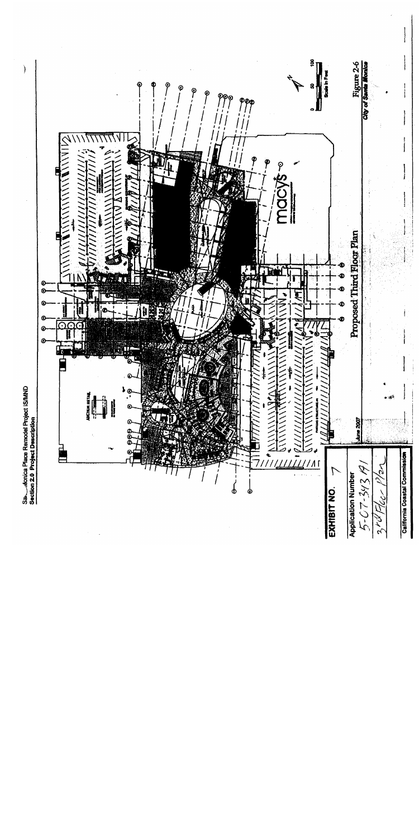